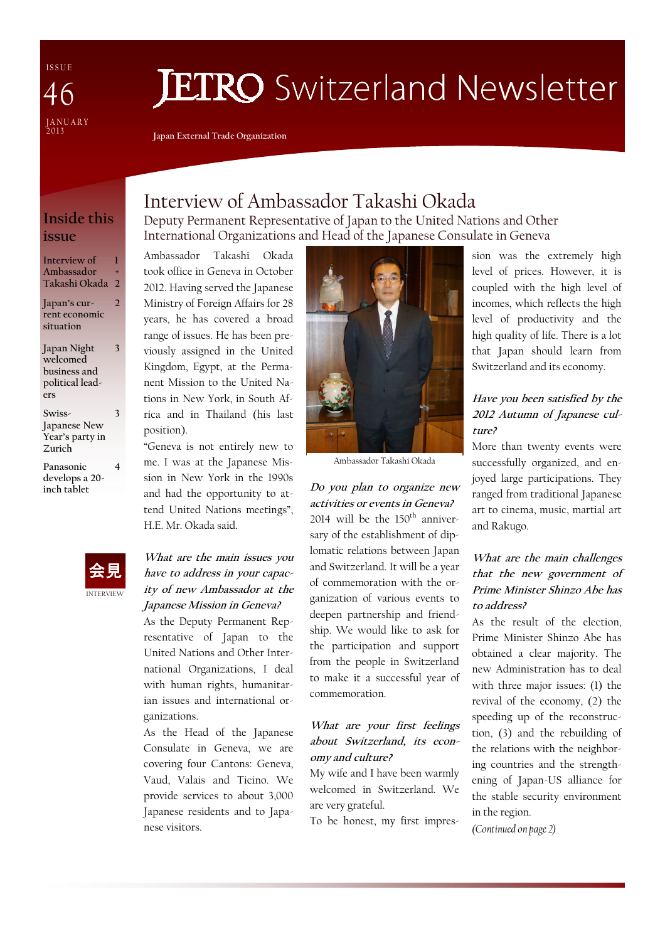I S S U E JANUARY<br>2013 46

# **JETRO** Switzerland Newsletter

Japan External Trade Organization

## Inside this issue

Interview of Ambassador Takashi Okada 2 1 +

2

3

4

Japan's current economic situation

Japan Night welcomed business and political leaders 3

Swiss-Japanese New Year's party in Zurich

Panasonic develops a 20 inch tablet



Deputy Permanent Representative of Japan to the United Nations and Other International Organizations and Head of the Japanese Consulate in Geneva

Ambassador Takashi Okada took office in Geneva in October 2012. Having served the Japanese Ministry of Foreign Affairs for 28 years, he has covered a broad range of issues. He has been previously assigned in the United Kingdom, Egypt, at the Permanent Mission to the United Nations in New York, in South Africa and in Thailand (his last position).

"Geneva is not entirely new to me. I was at the Japanese Mission in New York in the 1990s and had the opportunity to attend United Nations meetings", H.E. Mr. Okada said.



What are the main issues you have to address in your capacity of new Ambassador at the Japanese Mission in Geneva?

As the Deputy Permanent Representative of Japan to the United Nations and Other International Organizations, I deal with human rights, humanitarian issues and international organizations.

As the Head of the Japanese Consulate in Geneva, we are covering four Cantons: Geneva, Vaud, Valais and Ticino. We provide services to about 3,000 Japanese residents and to Japanese visitors.



Ambassador Takashi Okada

Do you plan to organize new activities or events in Geneva? 2014 will be the  $150<sup>th</sup>$  anniversary of the establishment of diplomatic relations between Japan and Switzerland. It will be a year of commemoration with the organization of various events to deepen partnership and friendship. We would like to ask for the participation and support from the people in Switzerland to make it a successful year of commemoration.

#### What are your first feelings about Switzerland, its economy and culture?

My wife and I have been warmly welcomed in Switzerland. We are very grateful.

To be honest, my first impres-

sion was the extremely high level of prices. However, it is coupled with the high level of incomes, which reflects the high level of productivity and the high quality of life. There is a lot that Japan should learn from Switzerland and its economy.

#### Have you been satisfied by the 2012 Autumn of Japanese culture?

More than twenty events were successfully organized, and enjoyed large participations. They ranged from traditional Japanese art to cinema, music, martial art and Rakugo.

#### What are the main challenges that the new government of Prime Minister Shinzo Abe has to address?

As the result of the election Prime Minister Shinzo Abe has obtained a clear majority. The new Administration has to deal with three major issues: (1) the revival of the economy, (2) the speeding up of the reconstruction, (3) and the rebuilding of the relations with the neighboring countries and the strengthening of Japan-US alliance for the stable security environment in the region.

(Continued on page 2)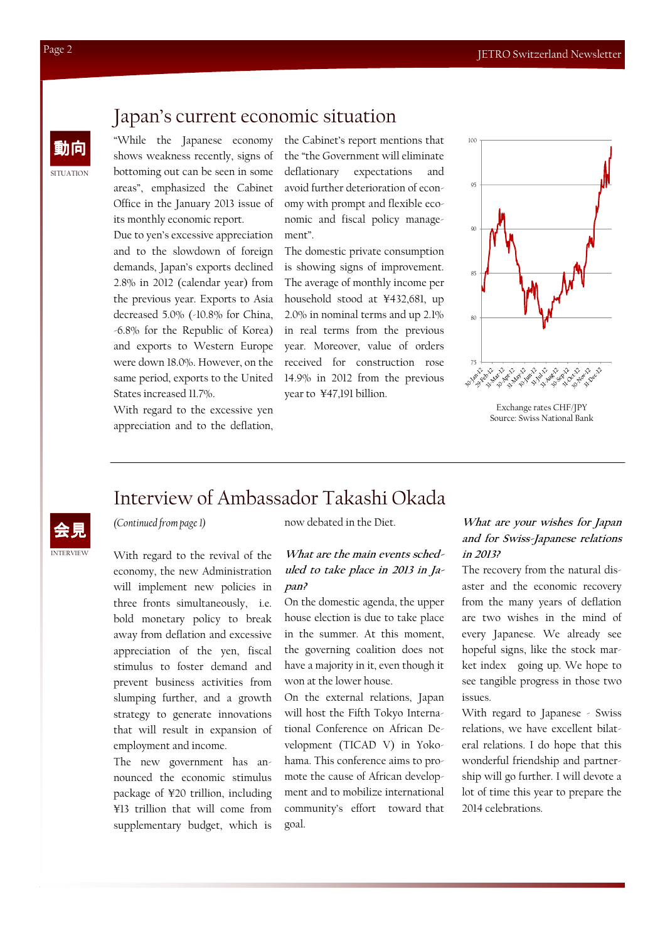## **SITUATION** 動向

INTERVIEW 会見

## Japan's current economic situation

"While the Japanese economy shows weakness recently, signs of bottoming out can be seen in some areas", emphasized the Cabinet Office in the January 2013 issue of its monthly economic report.

Due to yen's excessive appreciation and to the slowdown of foreign demands, Japan's exports declined 2.8% in 2012 (calendar year) from the previous year. Exports to Asia decreased 5.0% (-10.8% for China, -6.8% for the Republic of Korea) and exports to Western Europe were down 18.0%. However, on the same period, exports to the United States increased 11.7%.

With regard to the excessive yen appreciation and to the deflation, the Cabinet's report mentions that the "the Government will eliminate deflationary expectations and avoid further deterioration of economy with prompt and flexible economic and fiscal policy management".

The domestic private consumption is showing signs of improvement. The average of monthly income per household stood at ¥432,681, up 2.0% in nominal terms and up 2.1% in real terms from the previous year. Moreover, value of orders received for construction rose 14.9% in 2012 from the previous year to ¥47,191 billion.



Exchange rates CHF/JPY Source: Swiss National Bank

## Interview of Ambassador Takashi Okada

#### (Continued from page 1)

With regard to the revival of the economy, the new Administration will implement new policies in three fronts simultaneously, i.e. bold monetary policy to break away from deflation and excessive appreciation of the yen, fiscal stimulus to foster demand and prevent business activities from slumping further, and a growth strategy to generate innovations that will result in expansion of employment and income.

The new government has announced the economic stimulus package of ¥20 trillion, including ¥13 trillion that will come from supplementary budget, which is

now debated in the Diet.

#### What are the main events scheduled to take place in 2013 in Japan?

On the domestic agenda, the upper house election is due to take place in the summer. At this moment, the governing coalition does not have a majority in it, even though it won at the lower house.

On the external relations, Japan will host the Fifth Tokyo International Conference on African Development (TICAD V) in Yokohama. This conference aims to promote the cause of African development and to mobilize international community's effort toward that goal.

#### What are your wishes for Japan and for Swiss-Japanese relations in 2013?

The recovery from the natural disaster and the economic recovery from the many years of deflation are two wishes in the mind of every Japanese. We already see hopeful signs, like the stock market index going up. We hope to see tangible progress in those two issues.

With regard to Japanese - Swiss relations, we have excellent bilateral relations. I do hope that this wonderful friendship and partnership will go further. I will devote a lot of time this year to prepare the 2014 celebrations.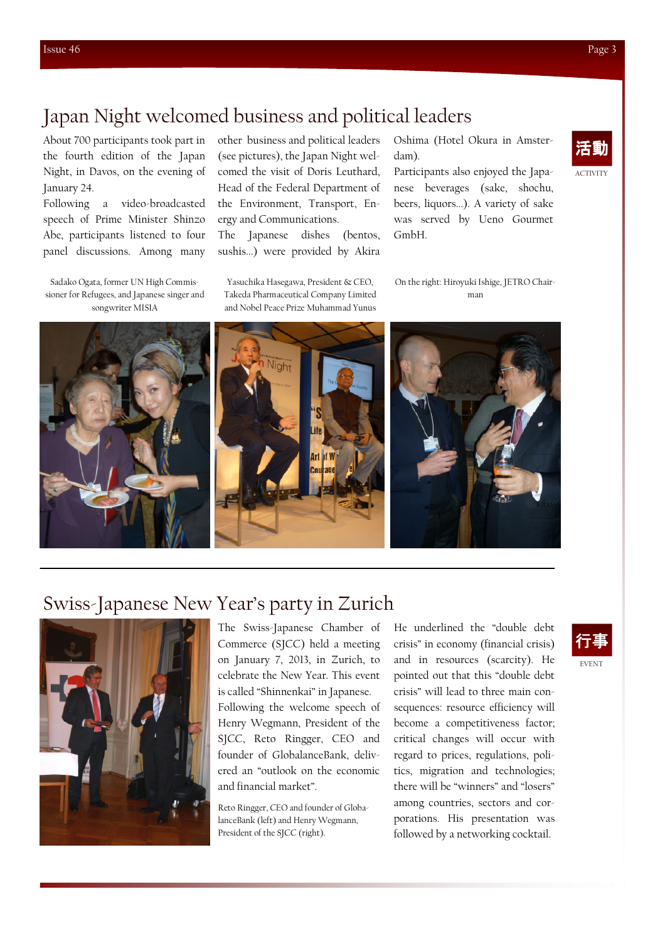ACTIVITY

# Japan Night welcomed business and political leaders

About 700 participants took part in the fourth edition of the Japan Night, in Davos, on the evening of January 24.

Following a video-broadcasted speech of Prime Minister Shinzo Abe, participants listened to four panel discussions. Among many

Sadako Ogata, former UN High Commissioner for Refugees, and Japanese singer and songwriter MISIA

other business and political leaders (see pictures), the Japan Night welcomed the visit of Doris Leuthard, Head of the Federal Department of the Environment, Transport, Energy and Communications. The Japanese dishes (bentos,

sushis...) were provided by Akira

Yasuchika Hasegawa, President & CEO, Takeda Pharmaceutical Company Limited and Nobel Peace Prize Muhammad Yunus Oshima (Hotel Okura in Amsterdam).

Participants also enjoyed the Japanese beverages (sake, shochu, beers, liquors...). A variety of sake was served by Ueno Gourmet GmbH.

On the right: Hiroyuki Ishige, JETRO Chairman



# Swiss-Japanese New Year's party in Zurich



The Swiss-Japanese Chamber of Commerce (SJCC) held a meeting on January 7, 2013, in Zurich, to celebrate the New Year. This event is called "Shinnenkai" in Japanese. Following the welcome speech of Henry Wegmann, President of the SJCC, Reto Ringger, CEO and founder of GlobalanceBank, delivered an "outlook on the economic and financial market".

Reto Ringger, CEO and founder of GlobalanceBank (left) and Henry Wegmann, President of the SJCC (right).

He underlined the "double debt crisis" in economy (financial crisis) and in resources (scarcity). He pointed out that this "double debt crisis" will lead to three main consequences: resource efficiency will become a competitiveness factor; critical changes will occur with regard to prices, regulations, politics, migration and technologies; there will be "winners" and "losers" among countries, sectors and corporations. His presentation was followed by a networking cocktail.